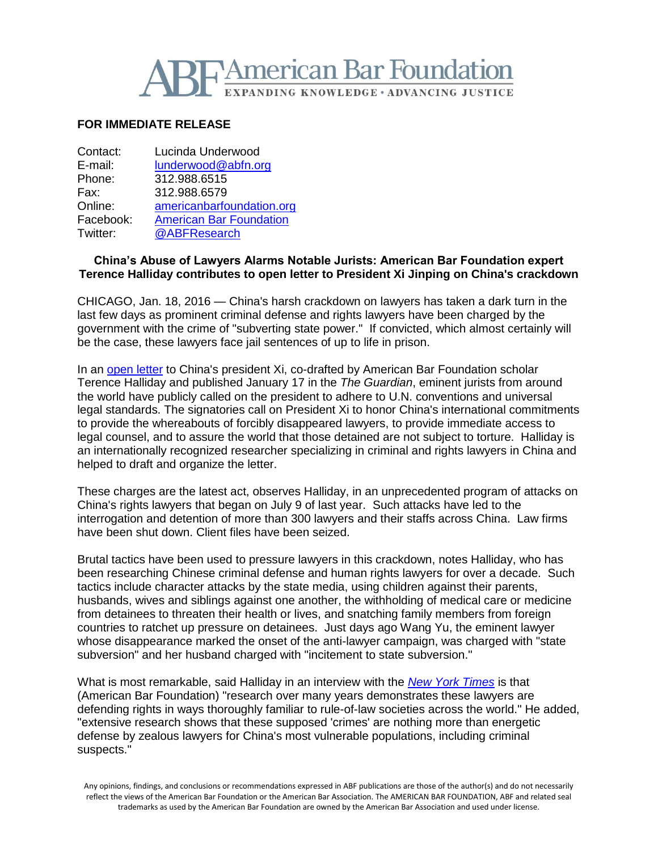

## **FOR IMMEDIATE RELEASE**

| Contact:  | Lucinda Underwood              |
|-----------|--------------------------------|
| E-mail:   | lunderwood@abfn.org            |
| Phone:    | 312.988.6515                   |
| Fax:      | 312.988.6579                   |
| Online:   | americanbarfoundation.org      |
| Facebook: | <b>American Bar Foundation</b> |
| Twitter:  | @ABFResearch                   |
|           |                                |

## **China's Abuse of Lawyers Alarms Notable Jurists: American Bar Foundation expert Terence Halliday contributes to open letter to President Xi Jinping on China's crackdown**

CHICAGO, Jan. 18, 2016 — China's harsh crackdown on lawyers has taken a dark turn in the last few days as prominent criminal defense and rights lawyers have been charged by the government with the crime of "subverting state power." If convicted, which almost certainly will be the case, these lawyers face jail sentences of up to life in prison.

In an [open letter](https://www.theguardian.com/world/2016/jan/18/china-must-end-its-intimidation-and-detention-of-human-rights-lawyers) to China's president Xi, co-drafted by American Bar Foundation scholar Terence Halliday and published January 17 in the *The Guardian*, eminent jurists from around the world have publicly called on the president to adhere to U.N. conventions and universal legal standards. The signatories call on President Xi to honor China's international commitments to provide the whereabouts of forcibly disappeared lawyers, to provide immediate access to legal counsel, and to assure the world that those detained are not subject to torture. Halliday is an internationally recognized researcher specializing in criminal and rights lawyers in China and helped to draft and organize the letter.

These charges are the latest act, observes Halliday, in an unprecedented program of attacks on China's rights lawyers that began on July 9 of last year. Such attacks have led to the interrogation and detention of more than 300 lawyers and their staffs across China. Law firms have been shut down. Client files have been seized.

Brutal tactics have been used to pressure lawyers in this crackdown, notes Halliday, who has been researching Chinese criminal defense and human rights lawyers for over a decade. Such tactics include character attacks by the state media, using children against their parents, husbands, wives and siblings against one another, the withholding of medical care or medicine from detainees to threaten their health or lives, and snatching family members from foreign countries to ratchet up pressure on detainees. Just days ago Wang Yu, the eminent lawyer whose disappearance marked the onset of the anti-lawyer campaign, was charged with "state subversion" and her husband charged with "incitement to state subversion."

What is most remarkable, said Halliday in an interview with the *[New York Times](http://www.nytimes.com/2016/01/19/world/asia/china-lawyers-arrest-reaction.html?hp&action=click&pgtype=Homepage&clickSource=story-heading&module=first-column-region®ion=top-news&WT.nav=top-news)* is that (American Bar Foundation) "research over many years demonstrates these lawyers are defending rights in ways thoroughly familiar to rule-of-law societies across the world." He added, "extensive research shows that these supposed 'crimes' are nothing more than energetic defense by zealous lawyers for China's most vulnerable populations, including criminal suspects."

Any opinions, findings, and conclusions or recommendations expressed in ABF publications are those of the author(s) and do not necessarily reflect the views of the American Bar Foundation or the American Bar Association. The AMERICAN BAR FOUNDATION, ABF and related seal trademarks as used by the American Bar Foundation are owned by the American Bar Association and used under license.